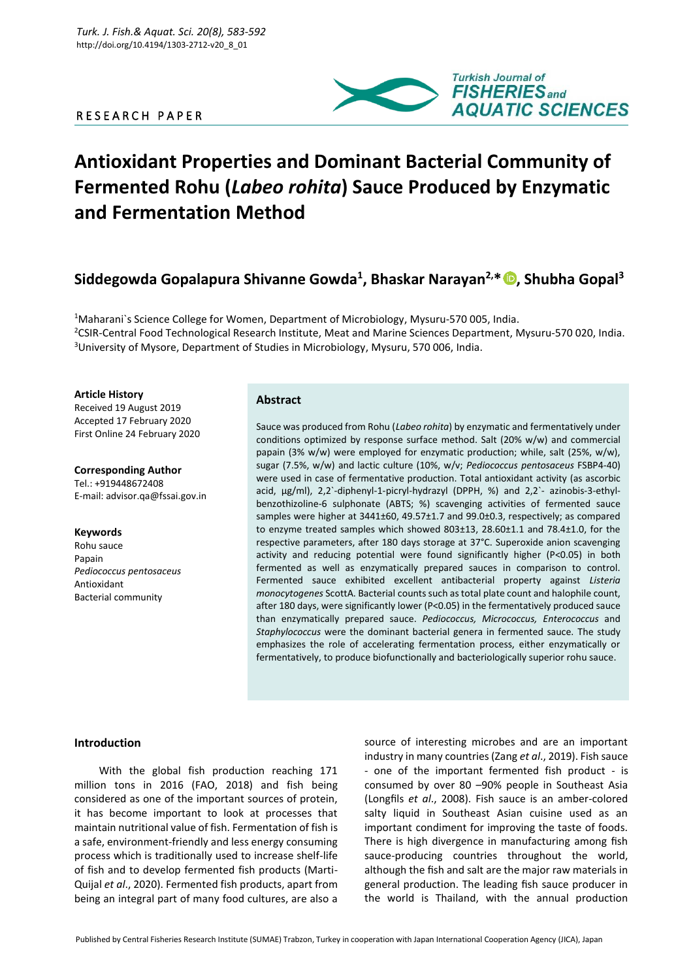## R E S E A R C H P A P E R



# **Antioxidant Properties and Dominant Bacterial Community of Fermented Rohu (***Labeo rohita***) Sauce Produced by Enzymatic and Fermentation Method**

## **Siddegowda Gopalapura Shivanne Gowda<sup>1</sup> , Bhaskar Narayan2,\* , Shubha Gopal<sup>3</sup>**

<sup>1</sup>Maharani`s Science College for Women, Department of Microbiology, Mysuru-570 005, India. <sup>2</sup>CSIR-Central Food Technological Research Institute, Meat and Marine Sciences Department, Mysuru-570 020, India. <sup>3</sup>University of Mysore, Department of Studies in Microbiology, Mysuru, 570 006, India.

**Article History**

Received 19 August 2019 Accepted 17 February 2020 First Online 24 February 2020

**Corresponding Author** Tel.: +919448672408 E-mail: advisor.qa@fssai.gov.in

## **Keywords**

Rohu sauce Papain *Pediococcus pentosaceus* Antioxidant Bacterial community

## **Abstract**

Sauce was produced from Rohu (*Labeo rohita*) by enzymatic and fermentatively under conditions optimized by response surface method. Salt (20% w/w) and commercial papain (3% w/w) were employed for enzymatic production; while, salt (25%, w/w), sugar (7.5%, w/w) and lactic culture (10%, w/v; *Pediococcus pentosaceus* FSBP4-40) were used in case of fermentative production. Total antioxidant activity (as ascorbic acid, µg/ml), 2,2`-diphenyl-1-picryl-hydrazyl (DPPH, %) and 2,2`- azinobis-3-ethylbenzothizoline-6 sulphonate (ABTS; %) scavenging activities of fermented sauce samples were higher at 3441±60, 49.57±1.7 and 99.0±0.3, respectively; as compared to enzyme treated samples which showed 803±13, 28.60±1.1 and 78.4±1.0, for the respective parameters, after 180 days storage at 37°C. Superoxide anion scavenging activity and reducing potential were found significantly higher (P<0.05) in both fermented as well as enzymatically prepared sauces in comparison to control. Fermented sauce exhibited excellent antibacterial property against *Listeria monocytogenes* ScottA. Bacterial counts such as total plate count and halophile count, after 180 days, were significantly lower (P<0.05) in the fermentatively produced sauce than enzymatically prepared sauce. *Pediococcus, Micrococcus, Enterococcus* and *Staphylococcus* were the dominant bacterial genera in fermented sauce. The study emphasizes the role of accelerating fermentation process, either enzymatically or fermentatively, to produce biofunctionally and bacteriologically superior rohu sauce.

## **Introduction**

With the global fish production reaching 171 million tons in 2016 (FAO, 2018) and fish being considered as one of the important sources of protein, it has become important to look at processes that maintain nutritional value of fish. Fermentation of fish is a safe, environment-friendly and less energy consuming process which is traditionally used to increase shelf-life of fish and to develop fermented fish products (Marti-Quijal *et al*., 2020). Fermented fish products, apart from being an integral part of many food cultures, are also a

source of interesting microbes and are an important industry in many countries (Zang *et al*., 2019). Fish sauce - one of the important fermented fish product - is consumed by over 80 –90% people in Southeast Asia (Longfils *et al*., 2008). Fish sauce is an amber-colored salty liquid in Southeast Asian cuisine used as an important condiment for improving the taste of foods. There is high divergence in manufacturing among fish sauce-producing countries throughout the world, although the fish and salt are the major raw materials in general production. The leading fish sauce producer in the world is Thailand, with the annual production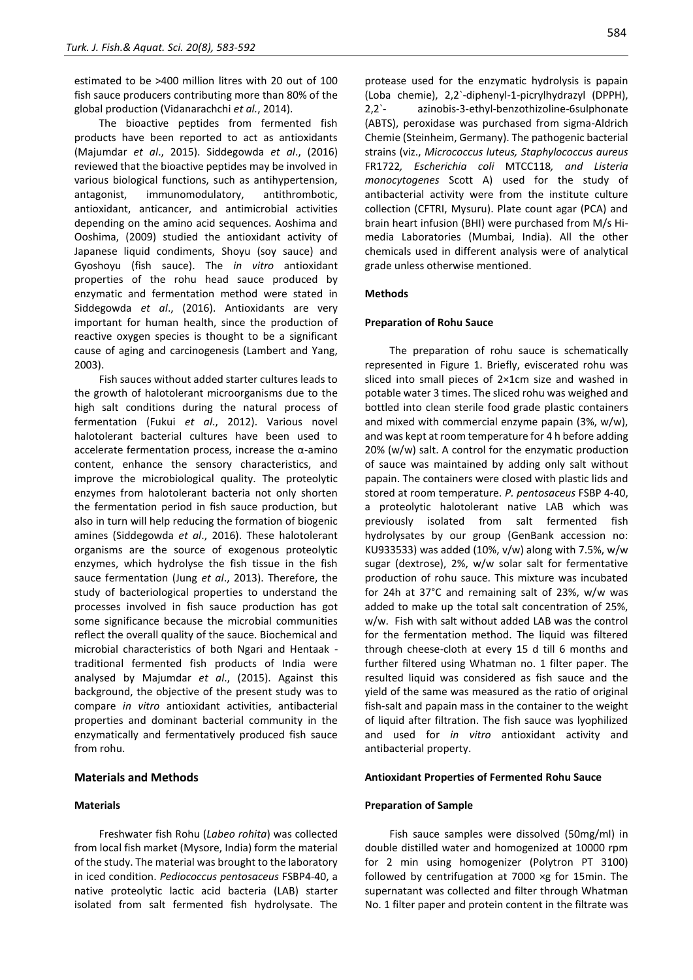estimated to be >400 million litres with 20 out of 100 fish sauce producers contributing more than 80% of the global production (Vidanarachchi *et al.*, 2014).

The bioactive peptides from fermented fish products have been reported to act as antioxidants (Majumdar *et al*., 2015). Siddegowda *et al*., (2016) reviewed that the bioactive peptides may be involved in various biological functions, such as antihypertension, antagonist, immunomodulatory, antithrombotic, antioxidant, anticancer, and antimicrobial activities depending on the amino acid sequences. Aoshima and Ooshima, (2009) studied the antioxidant activity of Japanese liquid condiments, Shoyu (soy sauce) and Gyoshoyu (fish sauce). The *in vitro* antioxidant properties of the rohu head sauce produced by enzymatic and fermentation method were stated in Siddegowda *et al*., (2016). Antioxidants are very important for human health, since the production of reactive oxygen species is thought to be a significant cause of aging and carcinogenesis (Lambert and Yang, 2003).

Fish sauces without added starter cultures leads to the growth of halotolerant microorganisms due to the high salt conditions during the natural process of fermentation (Fukui *et al*., 2012). Various novel halotolerant bacterial cultures have been used to accelerate fermentation process, increase the α-amino content, enhance the sensory characteristics, and improve the microbiological quality. The proteolytic enzymes from halotolerant bacteria not only shorten the fermentation period in fish sauce production, but also in turn will help reducing the formation of biogenic amines (Siddegowda *et al*., 2016). These halotolerant organisms are the source of exogenous proteolytic enzymes, which hydrolyse the fish tissue in the fish sauce fermentation (Jung *et al*., 2013). Therefore, the study of bacteriological properties to understand the processes involved in fish sauce production has got some significance because the microbial communities reflect the overall quality of the sauce. Biochemical and microbial characteristics of both Ngari and Hentaak traditional fermented fish products of India were analysed by Majumdar *et al*., (2015). Against this background, the objective of the present study was to compare *in vitro* antioxidant activities, antibacterial properties and dominant bacterial community in the enzymatically and fermentatively produced fish sauce from rohu.

## **Materials and Methods**

## **Materials**

Freshwater fish Rohu (*Labeo rohita*) was collected from local fish market (Mysore, India) form the material of the study. The material was brought to the laboratory in iced condition. *Pediococcus pentosaceus* FSBP4-40, a native proteolytic lactic acid bacteria (LAB) starter isolated from salt fermented fish hydrolysate. The protease used for the enzymatic hydrolysis is papain (Loba chemie), 2,2`-diphenyl-1-picrylhydrazyl (DPPH), 2,2`- azinobis-3-ethyl-benzothizoline-6sulphonate (ABTS), peroxidase was purchased from sigma-Aldrich Chemie (Steinheim, Germany). The pathogenic bacterial strains (viz., *Micrococcus luteus, Staphylococcus aureus*  FR1722*, Escherichia coli* MTCC118*, and Listeria monocytogenes* Scott A) used for the study of antibacterial activity were from the institute culture collection (CFTRI, Mysuru). Plate count agar (PCA) and brain heart infusion (BHI) were purchased from M/s Himedia Laboratories (Mumbai, India). All the other chemicals used in different analysis were of analytical grade unless otherwise mentioned.

### **Methods**

### **Preparation of Rohu Sauce**

The preparation of rohu sauce is schematically represented in Figure 1. Briefly, eviscerated rohu was sliced into small pieces of 2×1cm size and washed in potable water 3 times. The sliced rohu was weighed and bottled into clean sterile food grade plastic containers and mixed with commercial enzyme papain (3%, w/w), and was kept at room temperature for 4 h before adding 20% (w/w) salt. A control for the enzymatic production of sauce was maintained by adding only salt without papain. The containers were closed with plastic lids and stored at room temperature. *P. pentosaceus* FSBP 4-40, a proteolytic halotolerant native LAB which was previously isolated from salt fermented fish hydrolysates by our group (GenBank accession no: KU933533) was added (10%,  $v/w$ ) along with 7.5%,  $w/w$ sugar (dextrose), 2%, w/w solar salt for fermentative production of rohu sauce. This mixture was incubated for 24h at 37°C and remaining salt of 23%, w/w was added to make up the total salt concentration of 25%, w/w. Fish with salt without added LAB was the control for the fermentation method. The liquid was filtered through cheese-cloth at every 15 d till 6 months and further filtered using Whatman no. 1 filter paper. The resulted liquid was considered as fish sauce and the yield of the same was measured as the ratio of original fish-salt and papain mass in the container to the weight of liquid after filtration. The fish sauce was lyophilized and used for *in vitro* antioxidant activity and antibacterial property.

#### **Antioxidant Properties of Fermented Rohu Sauce**

#### **Preparation of Sample**

Fish sauce samples were dissolved (50mg/ml) in double distilled water and homogenized at 10000 rpm for 2 min using homogenizer (Polytron PT 3100) followed by centrifugation at 7000 ×g for 15min. The supernatant was collected and filter through Whatman No. 1 filter paper and protein content in the filtrate was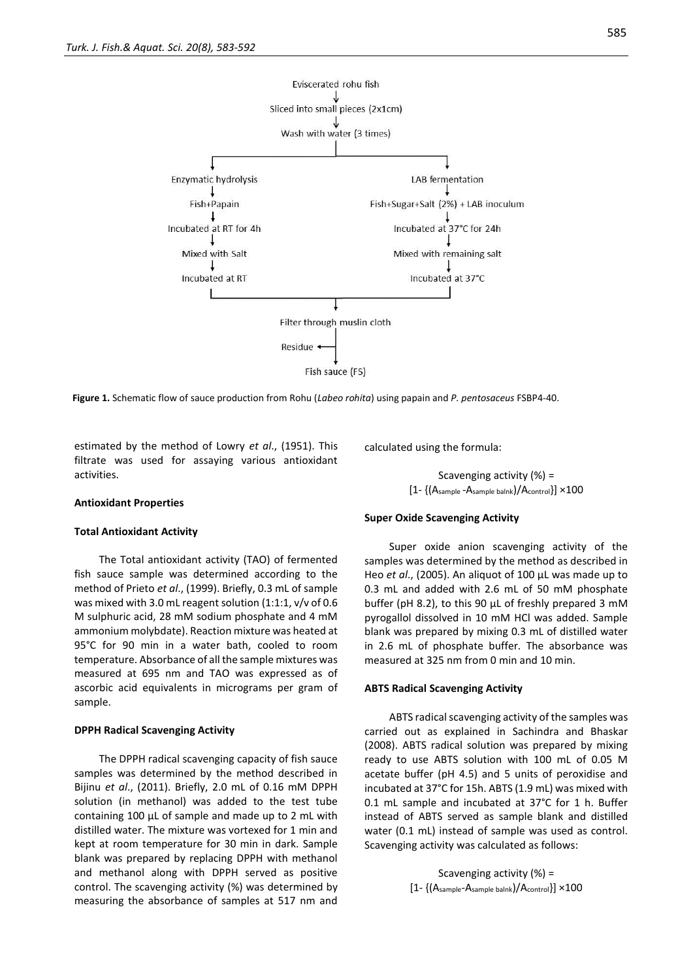

**Figure 1.** Schematic flow of sauce production from Rohu (*Labeo rohita*) using papain and *P. pentosaceus* FSBP4-40.

estimated by the method of Lowry *et al*., (1951). This filtrate was used for assaying various antioxidant activities.

#### **Antioxidant Properties**

#### **Total Antioxidant Activity**

The Total antioxidant activity (TAO) of fermented fish sauce sample was determined according to the method of Prieto *et al*., (1999). Briefly, 0.3 mL of sample was mixed with 3.0 mL reagent solution (1:1:1, v/v of 0.6 M sulphuric acid, 28 mM sodium phosphate and 4 mM ammonium molybdate). Reaction mixture was heated at 95°C for 90 min in a water bath, cooled to room temperature. Absorbance of all the sample mixtures was measured at 695 nm and TAO was expressed as of ascorbic acid equivalents in micrograms per gram of sample.

#### **DPPH Radical Scavenging Activity**

The DPPH radical scavenging capacity of fish sauce samples was determined by the method described in Bijinu *et al*., (2011). Briefly, 2.0 mL of 0.16 mM DPPH solution (in methanol) was added to the test tube containing 100 µL of sample and made up to 2 mL with distilled water. The mixture was vortexed for 1 min and kept at room temperature for 30 min in dark. Sample blank was prepared by replacing DPPH with methanol and methanol along with DPPH served as positive control. The scavenging activity (%) was determined by measuring the absorbance of samples at 517 nm and calculated using the formula:

Scavenging activity (%) = [1- {(Asample -Asample balnk)/Acontrol}] ×100

#### **Super Oxide Scavenging Activity**

Super oxide anion scavenging activity of the samples was determined by the method as described in Heo *et al*., (2005). An aliquot of 100 µL was made up to 0.3 mL and added with 2.6 mL of 50 mM phosphate buffer (pH 8.2), to this 90 µL of freshly prepared 3 mM pyrogallol dissolved in 10 mM HCl was added. Sample blank was prepared by mixing 0.3 mL of distilled water in 2.6 mL of phosphate buffer. The absorbance was measured at 325 nm from 0 min and 10 min.

#### **ABTS Radical Scavenging Activity**

ABTS radical scavenging activity of the samples was carried out as explained in Sachindra and Bhaskar (2008). ABTS radical solution was prepared by mixing ready to use ABTS solution with 100 mL of 0.05 M acetate buffer (pH 4.5) and 5 units of peroxidise and incubated at 37°C for 15h. ABTS (1.9 mL) was mixed with 0.1 mL sample and incubated at 37°C for 1 h. Buffer instead of ABTS served as sample blank and distilled water (0.1 mL) instead of sample was used as control. Scavenging activity was calculated as follows:

> Scavenging activity (%) = [1- {(Asample-Asample balnk)/Acontrol}] ×100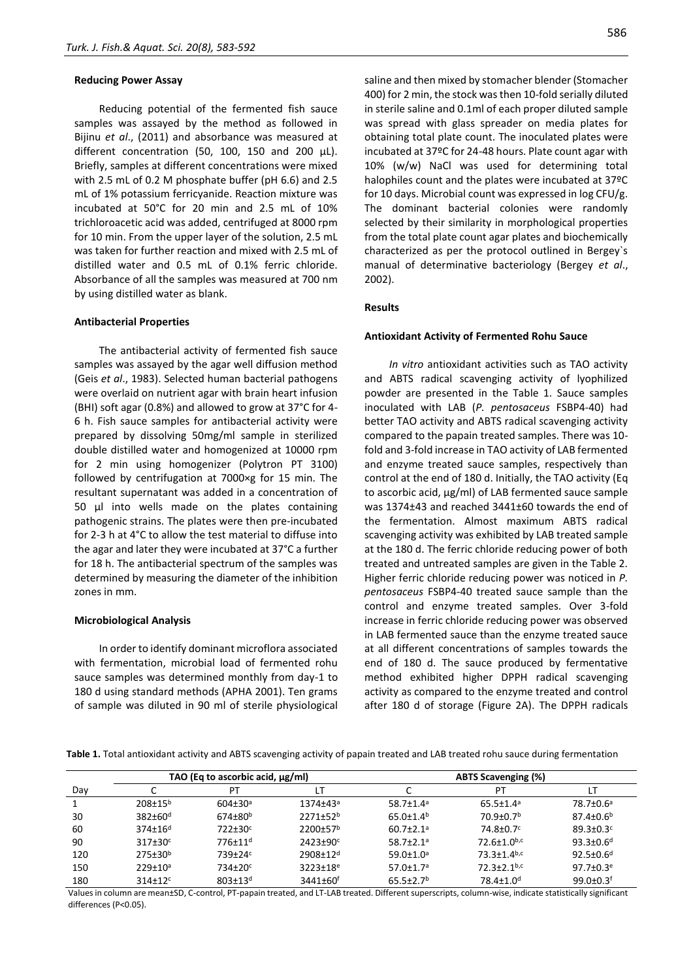#### **Reducing Power Assay**

Reducing potential of the fermented fish sauce samples was assayed by the method as followed in Bijinu *et al*., (2011) and absorbance was measured at different concentration (50, 100, 150 and 200 µL). Briefly, samples at different concentrations were mixed with 2.5 mL of 0.2 M phosphate buffer (pH 6.6) and 2.5 mL of 1% potassium ferricyanide. Reaction mixture was incubated at 50°C for 20 min and 2.5 mL of 10% trichloroacetic acid was added, centrifuged at 8000 rpm for 10 min. From the upper layer of the solution, 2.5 mL was taken for further reaction and mixed with 2.5 mL of distilled water and 0.5 mL of 0.1% ferric chloride. Absorbance of all the samples was measured at 700 nm by using distilled water as blank.

#### **Antibacterial Properties**

The antibacterial activity of fermented fish sauce samples was assayed by the agar well diffusion method (Geis *et al*., 1983). Selected human bacterial pathogens were overlaid on nutrient agar with brain heart infusion (BHI) soft agar (0.8%) and allowed to grow at 37°C for 4- 6 h. Fish sauce samples for antibacterial activity were prepared by dissolving 50mg/ml sample in sterilized double distilled water and homogenized at 10000 rpm for 2 min using homogenizer (Polytron PT 3100) followed by centrifugation at 7000×g for 15 min. The resultant supernatant was added in a concentration of 50 µl into wells made on the plates containing pathogenic strains. The plates were then pre-incubated for 2-3 h at 4°C to allow the test material to diffuse into the agar and later they were incubated at 37°C a further for 18 h. The antibacterial spectrum of the samples was determined by measuring the diameter of the inhibition zones in mm.

#### **Microbiological Analysis**

In order to identify dominant microflora associated with fermentation, microbial load of fermented rohu sauce samples was determined monthly from day-1 to 180 d using standard methods (APHA 2001). Ten grams of sample was diluted in 90 ml of sterile physiological

saline and then mixed by stomacher blender (Stomacher 400) for 2 min, the stock was then 10-fold serially diluted in sterile saline and 0.1ml of each proper diluted sample was spread with glass spreader on media plates for obtaining total plate count. The inoculated plates were incubated at 37ºC for 24-48 hours. Plate count agar with 10% (w/w) NaCl was used for determining total halophiles count and the plates were incubated at 37ºC for 10 days. Microbial count was expressed in log CFU/g. The dominant bacterial colonies were randomly selected by their similarity in morphological properties from the total plate count agar plates and biochemically characterized as per the protocol outlined in Bergey`s manual of determinative bacteriology (Bergey *et al*., 2002).

#### **Results**

#### **Antioxidant Activity of Fermented Rohu Sauce**

*In vitro* antioxidant activities such as TAO activity and ABTS radical scavenging activity of lyophilized powder are presented in the Table 1. Sauce samples inoculated with LAB (*P. pentosaceus* FSBP4-40) had better TAO activity and ABTS radical scavenging activity compared to the papain treated samples. There was 10 fold and 3-fold increase in TAO activity of LAB fermented and enzyme treated sauce samples, respectively than control at the end of 180 d. Initially, the TAO activity (Eq to ascorbic acid, µg/ml) of LAB fermented sauce sample was 1374±43 and reached 3441±60 towards the end of the fermentation. Almost maximum ABTS radical scavenging activity was exhibited by LAB treated sample at the 180 d. The ferric chloride reducing power of both treated and untreated samples are given in the Table 2. Higher ferric chloride reducing power was noticed in *P. pentosaceus* FSBP4-40 treated sauce sample than the control and enzyme treated samples. Over 3-fold increase in ferric chloride reducing power was observed in LAB fermented sauce than the enzyme treated sauce at all different concentrations of samples towards the end of 180 d. The sauce produced by fermentative method exhibited higher DPPH radical scavenging activity as compared to the enzyme treated and control after 180 d of storage (Figure 2A). The DPPH radicals

**Table 1.** Total antioxidant activity and ABTS scavenging activity of papain treated and LAB treated rohu sauce during fermentation

|     | TAO (Eq to ascorbic acid, $\mu$ g/ml) |                           |                            | ABTS Scavenging (%)         |                               |                             |  |
|-----|---------------------------------------|---------------------------|----------------------------|-----------------------------|-------------------------------|-----------------------------|--|
| Day |                                       | РT                        |                            |                             | P1                            |                             |  |
|     | $208 + 15^{b}$                        | $604 \pm 30$ <sup>a</sup> | 1374±43ª                   | $58.7 \pm 1.4^a$            | $65.5 \pm 1.4$ <sup>a</sup>   | 78.7±0.6ª                   |  |
| 30  | $382 \pm 60$ <sup>d</sup>             | $674 + 80^{b}$            | 2271±52 <sup>b</sup>       | $65.0 \pm 1.4$ <sup>b</sup> | 70.9±0.7 <sup>b</sup>         | $87.4 \pm 0.6^b$            |  |
| 60  | $374 \pm 16^d$                        | 722±30 <sup>c</sup>       | 2200±57 <sup>b</sup>       | $60.7 \pm 2.1$ <sup>a</sup> | $74.8 \pm 0.7$ <sup>c</sup>   | $89.3 \pm 0.3$ <sup>c</sup> |  |
| 90  | $317\pm30$ <sup>c</sup>               | 776+11 <sup>d</sup>       | $2423 + 90^c$              | $58.7 + 2.1a$               | $72.6 \pm 1.0$ <sub>b,c</sub> | $93.3 \pm 0.6^d$            |  |
| 120 | $275 \pm 30^{\circ}$                  | 739±24 <sup>c</sup>       | 2908±12 <sup>d</sup>       | $59.0 \pm 1.0$ <sup>a</sup> | $73.3 \pm 1.4$ <sub>b,c</sub> | $92.5 \pm 0.6$ <sup>d</sup> |  |
| 150 | $229 \pm 10^a$                        | 734±20 <sup>c</sup>       | $3223 \pm 18$ <sup>e</sup> | $57.0 \pm 1.7$ <sup>a</sup> | $72.3 + 2.1$ <sub>b,c</sub>   | $97.7 \pm 0.3$ <sup>e</sup> |  |
| 180 | $314\pm12$ <sup>c</sup>               | $803 \pm 13$ <sup>d</sup> | $3441 \pm 60^{\circ}$      | $65.5 \pm 2.7$ <sup>b</sup> | 78.4±1.0 <sup>d</sup>         | $99.0 + 0.3$ <sup>f</sup>   |  |

Values in column are mean±SD, C-control, PT-papain treated, and LT-LAB treated. Different superscripts, column-wise, indicate statistically significant differences (P<0.05).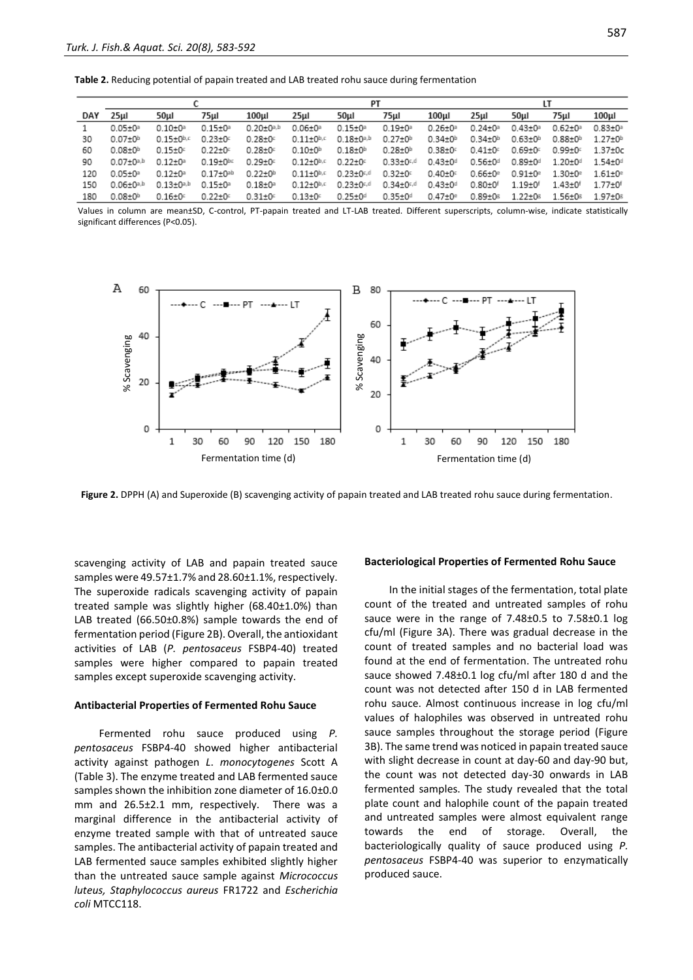**Table 2.** Reducing potential of papain treated and LAB treated rohu sauce during fermentation

|     |                         |                         |                           | PТ                      |                         |                           | LT                      |                         |                         |                 |                         |                           |
|-----|-------------------------|-------------------------|---------------------------|-------------------------|-------------------------|---------------------------|-------------------------|-------------------------|-------------------------|-----------------|-------------------------|---------------------------|
| DAY | 25ul                    | 50ul                    | 75µl                      | 100ul                   | 25µl                    | 50ul                      | 75µl                    | 100µl                   | 25ul                    | 50ul            | 75µI                    | 100ul                     |
|     | $0.05 + 0$ <sup>a</sup> | $0.10 + 0$ <sup>a</sup> | $0.15 + 02$               | $0.20 + 0^{a,b}$        | $0.06 + 0$ <sup>a</sup> | $0.15 + 0.2$              | $0.19 + 0$ <sup>a</sup> | $0.26 + 0$ <sup>a</sup> | $0.24 + 02$             | $0.43 + 05$     | $0.62 + 0$ <sup>a</sup> | $0.83 + 0$ <sup>a</sup>   |
| 30  | $0.07 + 0h$             | $0.15 + 0^{b,c}$        | $0.23 + 0$                | $0.28 + 0$              | $0.11 + 0^{b,c}$        | $0.18 + 0^{a,b}$          | $0.27 \pm 0^{\rm h}$    | $0.34 + 0b$             | $0.34 + 0b$             | $0.63 + 0b$     | $0.88 + 0b$             | $1.27 + 0h$               |
| 60  | $0.08 + 0h$             | $0.15 \pm 0$            | $0.22 \pm 0$              | $0.28 + 0$              | $0.10\pm0^{h}$          | $0.18 + 0b$               | $0.28 + 0h$             | $0.38 + 0$              | $0.41 \pm 0$            | $0.69 \pm 0.0$  | $0.99 \pm 0.5$          | $1.37 \pm 0c$             |
| 90  | $0.07 + 0^{a,b}$        | $0.12 + 0.2$            | $0.19 + 0$ <sub>pc</sub>  | $0.29 + 0$              | $0.12 + 0^{b,c}$        | $0.22 + 0$                | $0.33 \pm 0.44$         | $0.43 \pm 0$ d          | $0.56 + 0d$             | $0.89 \pm 0.01$ | $1.20 + 0d$             | $1.54 \pm 0.01$           |
| 120 | $0.05 + 0$ <sup>a</sup> | $0.12 + 0a$             | $0.17 + 0$ <sup>ab</sup>  | $0.22 + 0h$             | $0.11 \pm 0^{h,c}$      | $0.23 + 0.4$              | $0.32 \pm 0$            | $0.40 \pm 0$            | $0.66 + 0$ <sup>e</sup> | $0.91 + 0e$     | $1.30 \pm 0^{\circ}$    | $1.61 \pm 0$ <sup>e</sup> |
| 150 | $0.06 \pm 0^{a,b}$      | $0.13 + 0^{a,b}$        | $0.15 \pm 0$ <sup>a</sup> | $0.18 + 0$ <sup>a</sup> | $0.12 \pm 0^{b,c}$      | $0.23 \pm 0.44$           | $0.34 \pm 0.44$         | $0.43 \pm 0$ d          | $0.80 + 01$             | $1.19 + 0^{f}$  | $1.43 + 0†$             | $1.77 + 0$ <sup>f</sup>   |
| 180 | $0.08 + 0h$             | $0.16 \pm 0$            | $0.22 \pm 0$              | $0.31 \pm 0$            | $0.13 \pm 0$            | $0.25 \pm 0$ <sup>d</sup> | $0.35 \pm 0.01$         | $0.47 \pm 0^{\circ}$    | $0.89 \pm 0.5$          | $1.22 + 0s$     | $1.56 \pm 0.5$          | $1.97 + 0$                |

Values in column are mean±SD, C-control, PT-papain treated and LT-LAB treated. Different superscripts, column-wise, indicate statistically significant differences (P<0.05).



Figure 2. DPPH (A) and Superoxide (B) scavenging activity of papain treated and LAB treated rohu sauce during fermentation.

scavenging activity of LAB and papain treated sauce samples were 49.57±1.7% and 28.60±1.1%, respectively. The superoxide radicals scavenging activity of papain treated sample was slightly higher (68.40±1.0%) than LAB treated (66.50±0.8%) sample towards the end of fermentation period (Figure 2B). Overall, the antioxidant activities of LAB (*P. pentosaceus* FSBP4-40) treated samples were higher compared to papain treated samples except superoxide scavenging activity.

#### **Antibacterial Properties of Fermented Rohu Sauce**

Fermented rohu sauce produced using *P. pentosaceus* FSBP4-40 showed higher antibacterial activity against pathogen *L*. *monocytogenes* Scott A (Table 3). The enzyme treated and LAB fermented sauce samples shown the inhibition zone diameter of 16.0±0.0 mm and 26.5±2.1 mm, respectively. There was a marginal difference in the antibacterial activity of enzyme treated sample with that of untreated sauce samples. The antibacterial activity of papain treated and LAB fermented sauce samples exhibited slightly higher than the untreated sauce sample against *Micrococcus luteus, Staphylococcus aureus* FR1722 and *Escherichia coli* MTCC118.

#### **Bacteriological Properties of Fermented Rohu Sauce**

In the initial stages of the fermentation, total plate count of the treated and untreated samples of rohu sauce were in the range of 7.48±0.5 to 7.58±0.1 log cfu/ml (Figure 3A). There was gradual decrease in the count of treated samples and no bacterial load was found at the end of fermentation. The untreated rohu sauce showed 7.48±0.1 log cfu/ml after 180 d and the count was not detected after 150 d in LAB fermented rohu sauce. Almost continuous increase in log cfu/ml values of halophiles was observed in untreated rohu sauce samples throughout the storage period (Figure 3B). The same trend was noticed in papain treated sauce with slight decrease in count at day-60 and day-90 but, the count was not detected day-30 onwards in LAB fermented samples. The study revealed that the total plate count and halophile count of the papain treated and untreated samples were almost equivalent range towards the end of storage. Overall, the bacteriologically quality of sauce produced using *P. pentosaceus* FSBP4-40 was superior to enzymatically produced sauce.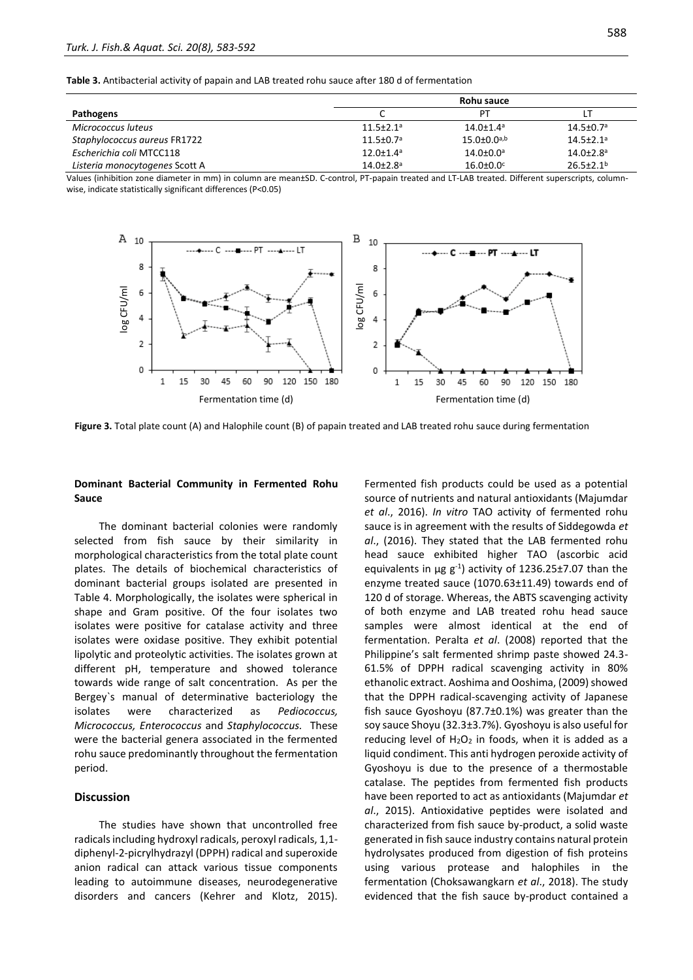**Table 3.** Antibacterial activity of papain and LAB treated rohu sauce after 180 d of fermentation

|                                | Rohu sauce                  |                             |                             |
|--------------------------------|-----------------------------|-----------------------------|-----------------------------|
| Pathogens                      | ╰                           | PТ                          |                             |
| Micrococcus luteus             | $11.5 \pm 2.1$ <sup>a</sup> | $14.0 \pm 1.4$ <sup>a</sup> | $14.5 \pm 0.7$ <sup>a</sup> |
| Staphylococcus aureus FR1722   | $11.5 \pm 0.7$ <sup>a</sup> | $15.0 \pm 0.0^{a,b}$        | $14.5 \pm 2.1$ <sup>a</sup> |
| Escherichia coli MTCC118       | $12.0 \pm 1.4$ <sup>a</sup> | $14.0 \pm 0.0$ <sup>a</sup> | $14.0{\pm}2.8^{\circ}$      |
| Listeria monocytogenes Scott A | $14.0{\pm}2.8^{\circ}$      | $16.0 \pm 0.0$              | $26.5 \pm 2.1$ <sup>b</sup> |

Values (inhibition zone diameter in mm) in column are mean±SD. C-control, PT-papain treated and LT-LAB treated. Different superscripts, columnwise, indicate statistically significant differences (P<0.05)



**Figure 3.** Total plate count (A) and Halophile count (B) of papain treated and LAB treated rohu sauce during fermentation

## **Dominant Bacterial Community in Fermented Rohu Sauce**

The dominant bacterial colonies were randomly selected from fish sauce by their similarity in morphological characteristics from the total plate count plates. The details of biochemical characteristics of dominant bacterial groups isolated are presented in Table 4. Morphologically, the isolates were spherical in shape and Gram positive. Of the four isolates two isolates were positive for catalase activity and three isolates were oxidase positive. They exhibit potential lipolytic and proteolytic activities. The isolates grown at different pH, temperature and showed tolerance towards wide range of salt concentration. As per the Bergey`s manual of determinative bacteriology the isolates were characterized as *Pediococcus, Micrococcus, Enterococcus* and *Staphylococcus.* These were the bacterial genera associated in the fermented rohu sauce predominantly throughout the fermentation period.

## **Discussion**

The studies have shown that uncontrolled free radicals including hydroxyl radicals, peroxyl radicals, 1,1 diphenyl-2-picrylhydrazyl (DPPH) radical and superoxide anion radical can attack various tissue components leading to autoimmune diseases, neurodegenerative disorders and cancers (Kehrer and Klotz, 2015). Fermented fish products could be used as a potential source of nutrients and natural antioxidants (Majumdar *et al*., 2016). *In vitro* TAO activity of fermented rohu sauce is in agreement with the results of Siddegowda *et al*., (2016). They stated that the LAB fermented rohu head sauce exhibited higher TAO (ascorbic acid equivalents in  $\mu$ g g<sup>-1</sup>) activity of 1236.25±7.07 than the enzyme treated sauce (1070.63±11.49) towards end of 120 d of storage. Whereas, the ABTS scavenging activity of both enzyme and LAB treated rohu head sauce samples were almost identical at the end of fermentation. Peralta *et al*. (2008) reported that the Philippine's salt fermented shrimp paste showed 24.3- 61.5% of DPPH radical scavenging activity in 80% ethanolic extract. Aoshima and Ooshima, (2009) showed that the DPPH radical-scavenging activity of Japanese fish sauce Gyoshoyu (87.7±0.1%) was greater than the soy sauce Shoyu (32.3±3.7%). Gyoshoyu is also useful for reducing level of  $H_2O_2$  in foods, when it is added as a liquid condiment. This anti hydrogen peroxide activity of Gyoshoyu is due to the presence of a thermostable catalase. The peptides from fermented fish products have been reported to act as antioxidants (Majumdar *et al*., 2015). Antioxidative peptides were isolated and characterized from fish sauce by-product, a solid waste generated in fish sauce industry contains natural protein hydrolysates produced from digestion of fish proteins using various protease and halophiles in the fermentation (Choksawangkarn *et al*., 2018). The study evidenced that the fish sauce by-product contained a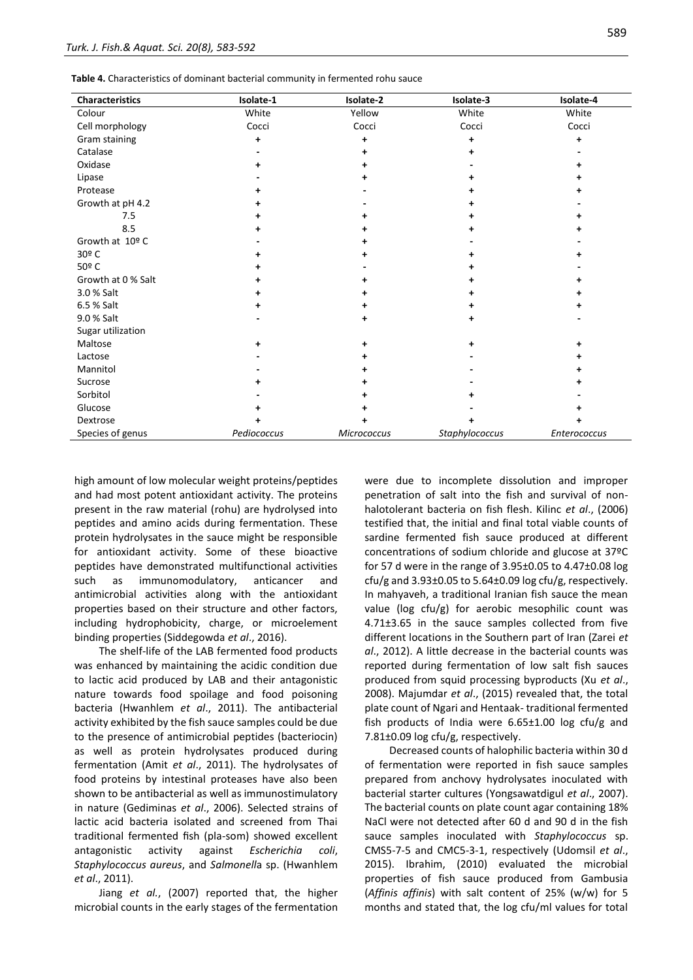| Characteristics    | Isolate-1   | Isolate-2          | Isolate-3      | Isolate-4    |
|--------------------|-------------|--------------------|----------------|--------------|
| Colour             | White       | Yellow             | White          | White        |
| Cell morphology    | Cocci       | Cocci              | Cocci          | Cocci        |
| Gram staining      | +           | +                  | +              | +            |
| Catalase           |             | +                  |                |              |
| Oxidase            |             |                    |                |              |
| Lipase             |             | ٠                  |                |              |
| Protease           |             |                    |                |              |
| Growth at pH 4.2   |             |                    |                |              |
| 7.5                |             | +                  |                |              |
| 8.5                |             | ٠                  | ٠              |              |
| Growth at 10º C    |             |                    |                |              |
| 30º C              |             | ٠                  |                |              |
| 50º C              |             |                    | ٠              |              |
| Growth at 0 % Salt |             | ٠                  |                |              |
| 3.0 % Salt         |             | +                  | +              |              |
| 6.5 % Salt         |             | ٠                  | ٠              |              |
| 9.0 % Salt         |             | +                  | +              |              |
| Sugar utilization  |             |                    |                |              |
| Maltose            |             | +                  | +              | +            |
| Lactose            |             |                    |                |              |
| Mannitol           |             | +                  |                |              |
| Sucrose            |             | ٠                  |                |              |
| Sorbitol           |             |                    |                |              |
| Glucose            |             |                    |                |              |
| Dextrose           |             | ٠                  |                |              |
| Species of genus   | Pediococcus | <b>Micrococcus</b> | Staphylococcus | Enterococcus |

high amount of low molecular weight proteins/peptides and had most potent antioxidant activity. The proteins present in the raw material (rohu) are hydrolysed into peptides and amino acids during fermentation. These protein hydrolysates in the sauce might be responsible for antioxidant activity. Some of these bioactive peptides have demonstrated multifunctional activities such as immunomodulatory, anticancer and antimicrobial activities along with the antioxidant properties based on their structure and other factors, including hydrophobicity, charge, or microelement binding properties (Siddegowda *et al*., 2016).

The shelf-life of the LAB fermented food products was enhanced by maintaining the acidic condition due to lactic acid produced by LAB and their antagonistic nature towards food spoilage and food poisoning bacteria (Hwanhlem *et al*., 2011). The antibacterial activity exhibited by the fish sauce samples could be due to the presence of antimicrobial peptides (bacteriocin) as well as protein hydrolysates produced during fermentation (Amit *et al*., 2011). The hydrolysates of food proteins by intestinal proteases have also been shown to be antibacterial as well as immunostimulatory in nature (Gediminas *et al*., 2006). Selected strains of lactic acid bacteria isolated and screened from Thai traditional fermented fish (pla-som) showed excellent antagonistic activity against *Escherichia coli*, *Staphylococcus aureus*, and *Salmonell*a sp. (Hwanhlem *et al*., 2011).

Jiang *et al.*, (2007) reported that, the higher microbial counts in the early stages of the fermentation were due to incomplete dissolution and improper penetration of salt into the fish and survival of nonhalotolerant bacteria on fish flesh. Kilinc *et al*., (2006) testified that, the initial and final total viable counts of sardine fermented fish sauce produced at different concentrations of sodium chloride and glucose at 37ºC for 57 d were in the range of 3.95±0.05 to 4.47±0.08 log cfu/g and  $3.93\pm0.05$  to  $5.64\pm0.09$  log cfu/g, respectively. In mahyaveh, a traditional Iranian fish sauce the mean value (log cfu/g) for aerobic mesophilic count was 4.71±3.65 in the sauce samples collected from five different locations in the Southern part of Iran (Zarei *et al*., 2012). A little decrease in the bacterial counts was reported during fermentation of low salt fish sauces produced from squid processing byproducts (Xu *et al*., 2008). Majumdar *et al*., (2015) revealed that, the total plate count of Ngari and Hentaak- traditional fermented fish products of India were 6.65±1.00 log cfu/g and 7.81±0.09 log cfu/g, respectively.

Decreased counts of halophilic bacteria within 30 d of fermentation were reported in fish sauce samples prepared from anchovy hydrolysates inoculated with bacterial starter cultures (Yongsawatdigul *et al*., 2007). The bacterial counts on plate count agar containing 18% NaCl were not detected after 60 d and 90 d in the fish sauce samples inoculated with *Staphylococcus* sp. CMS5-7-5 and CMC5-3-1, respectively (Udomsil *et al*., 2015). Ibrahim, (2010) evaluated the microbial properties of fish sauce produced from Gambusia (*Affinis affinis*) with salt content of 25% (w/w) for 5 months and stated that, the log cfu/ml values for total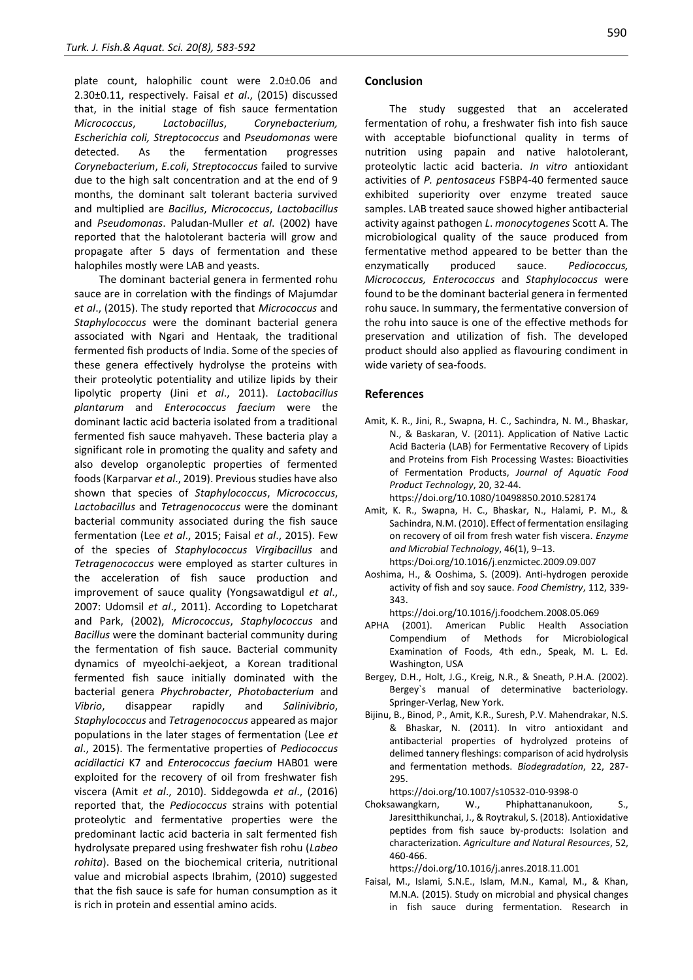plate count, halophilic count were 2.0±0.06 and 2.30±0.11, respectively. Faisal *et al*., (2015) discussed that, in the initial stage of fish sauce fermentation *Micrococcus*, *Lactobacillus*, *Corynebacterium, Escherichia coli, Streptococcus* and *Pseudomonas* were detected. As the fermentation progresses *Corynebacterium*, *E.coli*, *Streptococcus* failed to survive due to the high salt concentration and at the end of 9 months, the dominant salt tolerant bacteria survived and multiplied are *Bacillus*, *Micrococcus*, *Lactobacillus* and *Pseudomonas*. Paludan-Muller *et al*. (2002) have reported that the halotolerant bacteria will grow and propagate after 5 days of fermentation and these halophiles mostly were LAB and yeasts.

The dominant bacterial genera in fermented rohu sauce are in correlation with the findings of Majumdar *et al*., (2015). The study reported that *Micrococcus* and *Staphylococcus* were the dominant bacterial genera associated with Ngari and Hentaak, the traditional fermented fish products of India. Some of the species of these genera effectively hydrolyse the proteins with their proteolytic potentiality and utilize lipids by their lipolytic property (Jini *et al*., 2011). *Lactobacillus plantarum* and *Enterococcus faecium* were the dominant lactic acid bacteria isolated from a traditional fermented fish sauce mahyaveh. These bacteria play a significant role in promoting the quality and safety and also develop organoleptic properties of fermented foods (Karparvar *et al*., 2019). Previous studies have also shown that species of *Staphylococcus*, *Micrococcus*, *Lactobacillus* and *Tetragenococcus* were the dominant bacterial community associated during the fish sauce fermentation (Lee *et al*., 2015; Faisal *et al*., 2015). Few of the species of *Staphylococcus Virgibacillus* and *Tetragenococcus* were employed as starter cultures in the acceleration of fish sauce production and improvement of sauce quality (Yongsawatdigul *et al*., 2007: Udomsil *et al*., 2011). According to Lopetcharat and Park, (2002), *Micrococcus*, *Staphylococcus* and *Bacillus* were the dominant bacterial community during the fermentation of fish sauce. Bacterial community dynamics of myeolchi-aekjeot, a Korean traditional fermented fish sauce initially dominated with the bacterial genera *Phychrobacter*, *Photobacterium* and *Vibrio*, disappear rapidly and *Salinivibrio*, *Staphylococcus* and *Tetragenococcus* appeared as major populations in the later stages of fermentation (Lee *et al*., 2015). The fermentative properties of *Pediococcus acidilactici* K7 and *Enterococcus faecium* HAB01 were exploited for the recovery of oil from freshwater fish viscera (Amit *et al*., 2010). Siddegowda *et al*., (2016) reported that, the *Pediococcus* strains with potential proteolytic and fermentative properties were the predominant lactic acid bacteria in salt fermented fish hydrolysate prepared using freshwater fish rohu (*Labeo rohita*). Based on the biochemical criteria, nutritional value and microbial aspects Ibrahim, (2010) suggested that the fish sauce is safe for human consumption as it is rich in protein and essential amino acids.

## **Conclusion**

The study suggested that an accelerated fermentation of rohu, a freshwater fish into fish sauce with acceptable biofunctional quality in terms of nutrition using papain and native halotolerant, proteolytic lactic acid bacteria. *In vitro* antioxidant activities of *P. pentosaceus* FSBP4-40 fermented sauce exhibited superiority over enzyme treated sauce samples. LAB treated sauce showed higher antibacterial activity against pathogen *L*. *monocytogenes* Scott A. The microbiological quality of the sauce produced from fermentative method appeared to be better than the enzymatically produced sauce. *Pediococcus, Micrococcus, Enterococcus* and *Staphylococcus* were found to be the dominant bacterial genera in fermented rohu sauce. In summary, the fermentative conversion of the rohu into sauce is one of the effective methods for preservation and utilization of fish. The developed product should also applied as flavouring condiment in wide variety of sea-foods.

## **References**

- Amit, K. R., Jini, R., Swapna, H. C., Sachindra, N. M., Bhaskar, N., & Baskaran, V. (2011). Application of Native Lactic Acid Bacteria (LAB) for Fermentative Recovery of Lipids and Proteins from Fish Processing Wastes: Bioactivities of Fermentation Products, *Journal of Aquatic Food Product Technology*, 20, 32-44.
- https://doi.org/10.1080/10498850.2010.528174 Amit, K. R., Swapna, H. C., Bhaskar, N., Halami, P. M., & Sachindra, N.M. (2010). Effect of fermentation ensilaging
	- on recovery of oil from fresh water fish viscera. *Enzyme and Microbial Technology*, 46(1), 9–13. https:/Doi.org/10.1016/j.enzmictec.2009.09.007
- Aoshima, H., & Ooshima, S. (2009). Anti-hydrogen peroxide activity of fish and soy sauce. *Food Chemistry*, 112, 339- 343.

https://doi.org/10.1016/j.foodchem.2008.05.069

- APHA (2001). American Public Health Association Compendium of Methods for Microbiological Examination of Foods, 4th edn., Speak, M. L. Ed. Washington, USA
- Bergey, D.H., Holt, J.G., Kreig, N.R., & Sneath, P.H.A. (2002). Bergey`s manual of determinative bacteriology. Springer-Verlag, New York.
- Bijinu, B., Binod, P., Amit, K.R., Suresh, P.V. Mahendrakar, N.S. & Bhaskar, N. (2011). In vitro antioxidant and antibacterial properties of hydrolyzed proteins of delimed tannery fleshings: comparison of acid hydrolysis and fermentation methods. *Biodegradation*, 22, 287- 295.

https://doi.org/10.1007/s10532-010-9398-0

Choksawangkarn, W., Phiphattananukoon, S., Jaresitthikunchai, J., & Roytrakul, S. (2018). Antioxidative peptides from fish sauce by-products: Isolation and characterization. *Agriculture and Natural Resources*, 52, 460-466.

https://doi.org/10.1016/j.anres.2018.11.001

Faisal, M., Islami, S.N.E., Islam, M.N., Kamal, M., & Khan, M.N.A. (2015). Study on microbial and physical changes in fish sauce during fermentation. Research in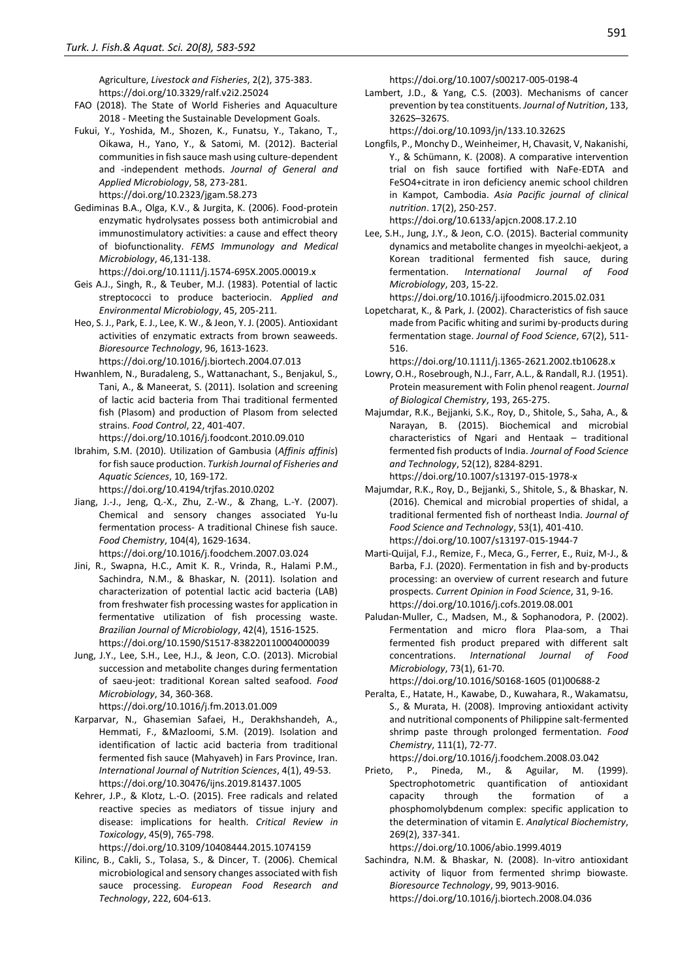Agriculture, *Livestock and Fisheries*, 2(2), 375-383. https://doi.org/10.3329/ralf.v2i2.25024

- FAO (2018). The State of World Fisheries and Aquaculture 2018 - Meeting the Sustainable Development Goals.
- Fukui, Y., Yoshida, M., Shozen, K., Funatsu, Y., Takano, T., Oikawa, H., Yano, Y., & Satomi, M. (2012). Bacterial communities in fish sauce mash using culture-dependent and -independent methods. *Journal of General and Applied Microbiology*, 58, 273-281. https://doi.org/10.2323/jgam.58.273
- Gediminas B.A., Olga, K.V., & Jurgita, K. (2006). Food-protein enzymatic hydrolysates possess both antimicrobial and immunostimulatory activities: a cause and effect theory of biofunctionality. *FEMS Immunology and Medical Microbiology*, 46,131-138.
	- https://doi.org/10.1111/j.1574-695X.2005.00019.x
- Geis A.J., Singh, R., & Teuber, M.J. (1983). Potential of lactic streptococci to produce bacteriocin. *Applied and Environmental Microbiology*, 45, 205-211.
- Heo, S. J., Park, E. J., Lee, K. W., & Jeon, Y. J. (2005). Antioxidant activities of enzymatic extracts from brown seaweeds. *Bioresource Technology*, 96, 1613-1623. https://doi.org/10.1016/j.biortech.2004.07.013
- Hwanhlem, N., Buradaleng, S., Wattanachant, S., Benjakul, S., Tani, A., & Maneerat, S. (2011). Isolation and screening of lactic acid bacteria from Thai traditional fermented fish (Plasom) and production of Plasom from selected strains. *Food Control*, 22, 401-407. https://doi.org/10.1016/j.foodcont.2010.09.010
- Ibrahim, S.M. (2010). Utilization of Gambusia (*Affinis affinis*) for fish sauce production. *Turkish Journal of Fisheries and Aquatic Sciences*, 10, 169-172.

https://doi.org/10.4194/trjfas.2010.0202

- Jiang, J.-J., Jeng, Q.-X., Zhu, Z.-W., & Zhang, L.-Y. (2007). Chemical and sensory changes associated Yu-lu fermentation process- A traditional Chinese fish sauce. *Food Chemistry*, 104(4), 1629-1634. https://doi.org/10.1016/j.foodchem.2007.03.024
- Jini, R., Swapna, H.C., Amit K. R., Vrinda, R., Halami P.M., Sachindra, N.M., & Bhaskar, N. (2011). Isolation and characterization of potential lactic acid bacteria (LAB) from freshwater fish processing wastes for application in fermentative utilization of fish processing waste. *Brazilian Journal of Microbiology*, 42(4), 1516-1525. https://doi.org/10.1590/S1517-838220110004000039
- Jung, J.Y., Lee, S.H., Lee, H.J., & Jeon, C.O. (2013). Microbial succession and metabolite changes during fermentation of saeu-jeot: traditional Korean salted seafood. *Food Microbiology*, 34, 360-368.

https://doi.org/10.1016/j.fm.2013.01.009

- Karparvar, N., Ghasemian Safaei, H., Derakhshandeh, A., Hemmati, F., &Mazloomi, S.M. (2019). Isolation and identification of lactic acid bacteria from traditional fermented fish sauce (Mahyaveh) in Fars Province, Iran. *International Journal of Nutrition Sciences*, 4(1), 49-53. https://doi.org/10.30476/ijns.2019.81437.1005
- Kehrer, J.P., & Klotz, L.-O. (2015). Free radicals and related reactive species as mediators of tissue injury and disease: implications for health. *Critical Review in Toxicology*, 45(9), 765-798.

https://doi.org/10.3109/10408444.2015.1074159

Kilinc, B., Cakli, S., Tolasa, S., & Dincer, T. (2006). Chemical microbiological and sensory changes associated with fish sauce processing. *European Food Research and Technology*, 222, 604-613.

https://doi.org/10.1007/s00217-005-0198-4

Lambert, J.D., & Yang, C.S. (2003). Mechanisms of cancer prevention by tea constituents. *Journal of Nutrition*, 133, 3262S–3267S.

https://doi.org/10.1093/jn/133.10.3262S

Longfils, P., Monchy D., Weinheimer, H, Chavasit, V, Nakanishi, Y., & Schümann, K. (2008). A comparative intervention trial on fish sauce fortified with NaFe-EDTA and FeSO4+citrate in iron deficiency anemic school children in Kampot, Cambodia. *Asia Pacific journal of clinical nutrition*. 17(2), 250-257.

https://doi.org/10.6133/apjcn.2008.17.2.10

Lee, S.H., Jung, J.Y., & Jeon, C.O. (2015). Bacterial community dynamics and metabolite changes in myeolchi-aekjeot, a Korean traditional fermented fish sauce, during fermentation. *International Journal of Food Microbiology*, 203, 15-22.

https://doi.org/10.1016/j.ijfoodmicro.2015.02.031

Lopetcharat, K., & Park, J. (2002). Characteristics of fish sauce made from Pacific whiting and surimi by-products during fermentation stage. *Journal of Food Science*, 67(2), 511- 516.

https://doi.org/10.1111/j.1365-2621.2002.tb10628.x

- Lowry, O.H., Rosebrough, N.J., Farr, A.L., & Randall, R.J. (1951). Protein measurement with Folin phenol reagent. *Journal of Biological Chemistry*, 193, 265-275.
- Majumdar, R.K., Bejjanki, S.K., Roy, D., Shitole, S., Saha, A., & Narayan, B. (2015). Biochemical and microbial characteristics of Ngari and Hentaak – traditional fermented fish products of India. *Journal of Food Science and Technology*, 52(12), 8284-8291. https://doi.org/10.1007/s13197-015-1978-x
- Majumdar, R.K., Roy, D., Bejjanki, S., Shitole, S., & Bhaskar, N. (2016). Chemical and microbial properties of shidal, a traditional fermented fish of northeast India. *Journal of Food Science and Technology*, 53(1), 401-410. https://doi.org/10.1007/s13197-015-1944-7
- Marti-Quijal, F.J., Remize, F., Meca, G., Ferrer, E., Ruiz, M-J., & Barba, F.J. (2020). Fermentation in fish and by-products processing: an overview of current research and future prospects. *Current Opinion in Food Science*, 31, 9-16. https://doi.org/10.1016/j.cofs.2019.08.001
- Paludan-Muller, C., Madsen, M., & Sophanodora, P. (2002). Fermentation and micro flora Plaa-som, a Thai fermented fish product prepared with different salt concentrations. *International Journal of Food Microbiology*, 73(1), 61-70.

https://doi.org/10.1016/S0168-1605 (01)00688-2

Peralta, E., Hatate, H., Kawabe, D., Kuwahara, R., Wakamatsu, S., & Murata, H. (2008). Improving antioxidant activity and nutritional components of Philippine salt-fermented shrimp paste through prolonged fermentation. *Food Chemistry*, 111(1), 72-77.

https://doi.org/10.1016/j.foodchem.2008.03.042

Prieto, P., Pineda, M., & Aguilar, M. (1999). Spectrophotometric quantification of antioxidant capacity through the formation of phosphomolybdenum complex: specific application to the determination of vitamin E. *Analytical Biochemistry*, 269(2), 337-341.

https://doi.org/10.1006/abio.1999.4019

Sachindra, N.M. & Bhaskar, N. (2008). In-vitro antioxidant activity of liquor from fermented shrimp biowaste. *Bioresource Technology*, 99, 9013-9016. https://doi.org/10.1016/j.biortech.2008.04.036